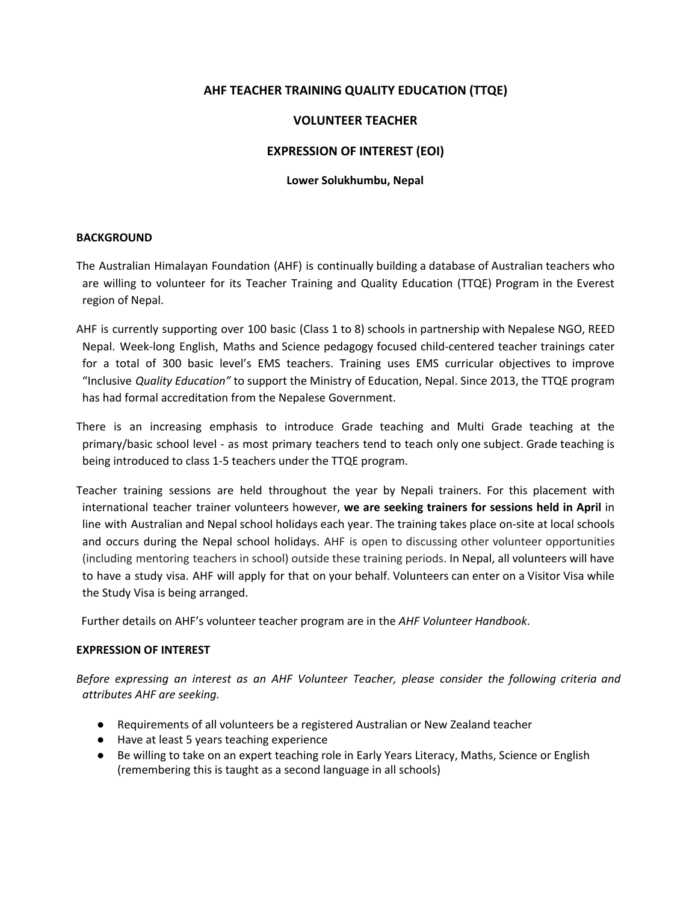# **AHF TEACHER TRAINING QUALITY EDUCATION (TTQE)**

## **VOLUNTEER TEACHER**

# **EXPRESSION OF INTEREST (EOI)**

### **Lower Solukhumbu, Nepal**

#### **BACKGROUND**

The Australian Himalayan Foundation (AHF) is continually building a database of Australian teachers who are willing to volunteer for its Teacher Training and Quality Education (TTQE) Program in the Everest region of Nepal.

- AHF is currently supporting over 100 basic (Class 1 to 8) schools in partnership with Nepalese NGO, REED Nepal. Week-long English, Maths and Science pedagogy focused child-centered teacher trainings cater for a total of 300 basic level's EMS teachers. Training uses EMS curricular objectives to improve "Inclusive *Quality Education"* to support the Ministry of Education, Nepal. Since 2013, the TTQE program has had formal accreditation from the Nepalese Government.
- There is an increasing emphasis to introduce Grade teaching and Multi Grade teaching at the primary/basic school level - as most primary teachers tend to teach only one subject. Grade teaching is being introduced to class 1-5 teachers under the TTQE program.
- Teacher training sessions are held throughout the year by Nepali trainers. For this placement with international teacher trainer volunteers however, **we are seeking trainers for sessions held in April** in line with Australian and Nepal school holidays each year. The training takes place on-site at local schools and occurs during the Nepal school holidays. AHF is open to discussing other volunteer opportunities (including mentoring teachers in school) outside these training periods. In Nepal, all volunteers will have to have a study visa. AHF will apply for that on your behalf. Volunteers can enter on a Visitor Visa while the Study Visa is being arranged.

Further details on AHF's volunteer teacher program are in the *AHF Volunteer Handbook*.

#### **EXPRESSION OF INTEREST**

*Before expressing an interest as an AHF Volunteer Teacher, please consider the following criteria and attributes AHF are seeking.*

- Requirements of all volunteers be a registered Australian or New Zealand teacher
- Have at least 5 years teaching experience
- Be willing to take on an expert teaching role in Early Years Literacy, Maths, Science or English (remembering this is taught as a second language in all schools)